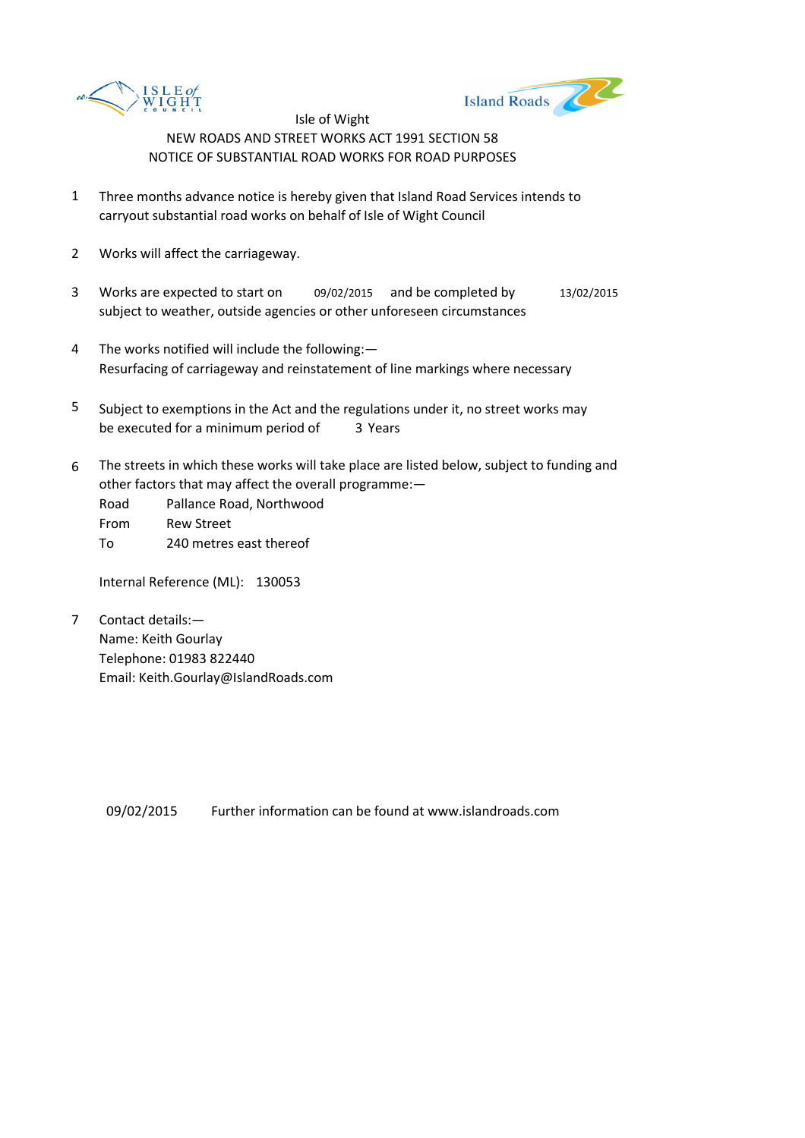



- 1 Three months advance notice is hereby given that Island Road Services intends to carryout substantial road works on behalf of Isle of Wight Council
- 2 Works will affect the carriageway.
- 3 Works are expected to start on 09/02/2015 and be completed by 13/02/2015 subject to weather, outside agencies or other unforeseen circumstances
- 4 The works notified will include the following:— Resurfacing of carriageway and reinstatement of line markings where necessary
- 5 be executed for a minimum period of 3 Years Subject to exemptions in the Act and the regulations under it, no street works may
- 6 The streets in which these works will take place are listed below, subject to funding and other factors that may affect the overall programme:—
	- Road Pallance Road, Northwood
	- From Rew Street
	- To 240 metres east thereof

Internal Reference (ML): 130053

7 Contact details:— Name: Keith Gourlay Telephone: 01983 822440 Email: Keith.Gourlay@IslandRoads.com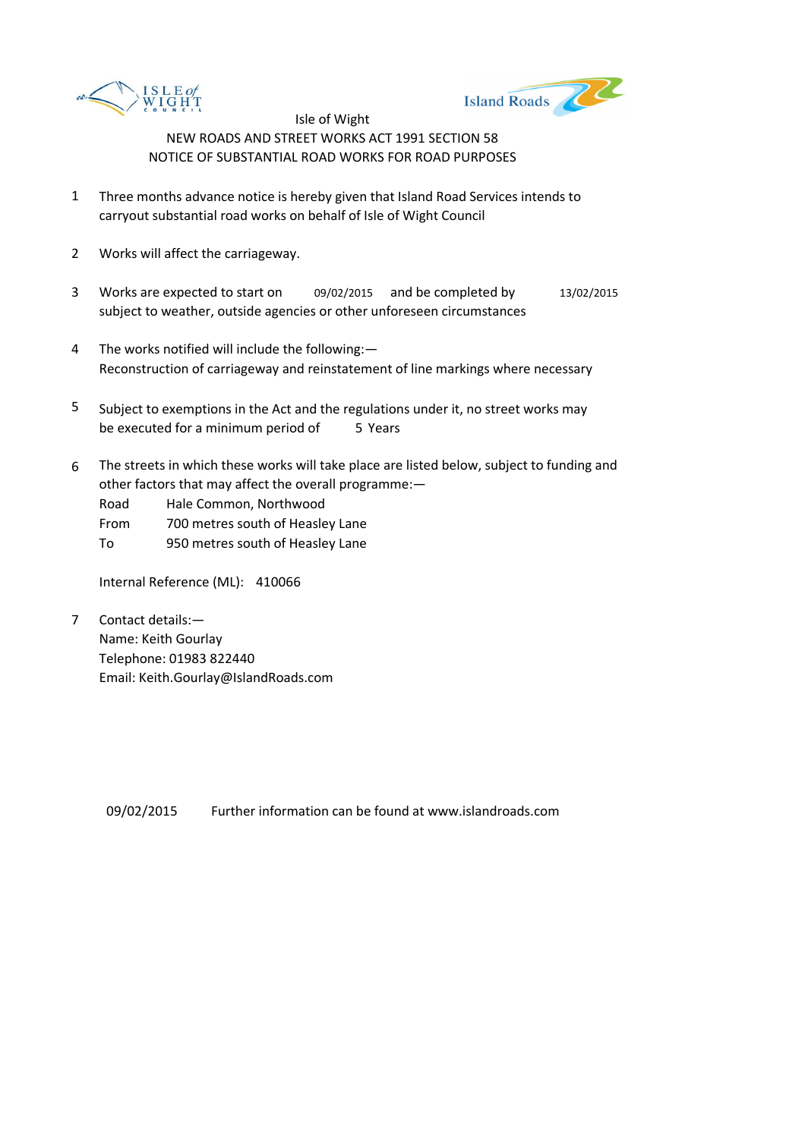



- 1 Three months advance notice is hereby given that Island Road Services intends to carryout substantial road works on behalf of Isle of Wight Council
- 2 Works will affect the carriageway.
- 3 Works are expected to start on 09/02/2015 and be completed by 13/02/2015 subject to weather, outside agencies or other unforeseen circumstances
- 4 The works notified will include the following:— Reconstruction of carriageway and reinstatement of line markings where necessary
- 5 be executed for a minimum period of 5 Years Subject to exemptions in the Act and the regulations under it, no street works may
- 6 The streets in which these works will take place are listed below, subject to funding and other factors that may affect the overall programme:—

Road Hale Common, Northwood

- From 700 metres south of Heasley Lane
- To 950 metres south of Heasley Lane

Internal Reference (ML): 410066

7 Contact details:— Name: Keith Gourlay Telephone: 01983 822440 Email: Keith.Gourlay@IslandRoads.com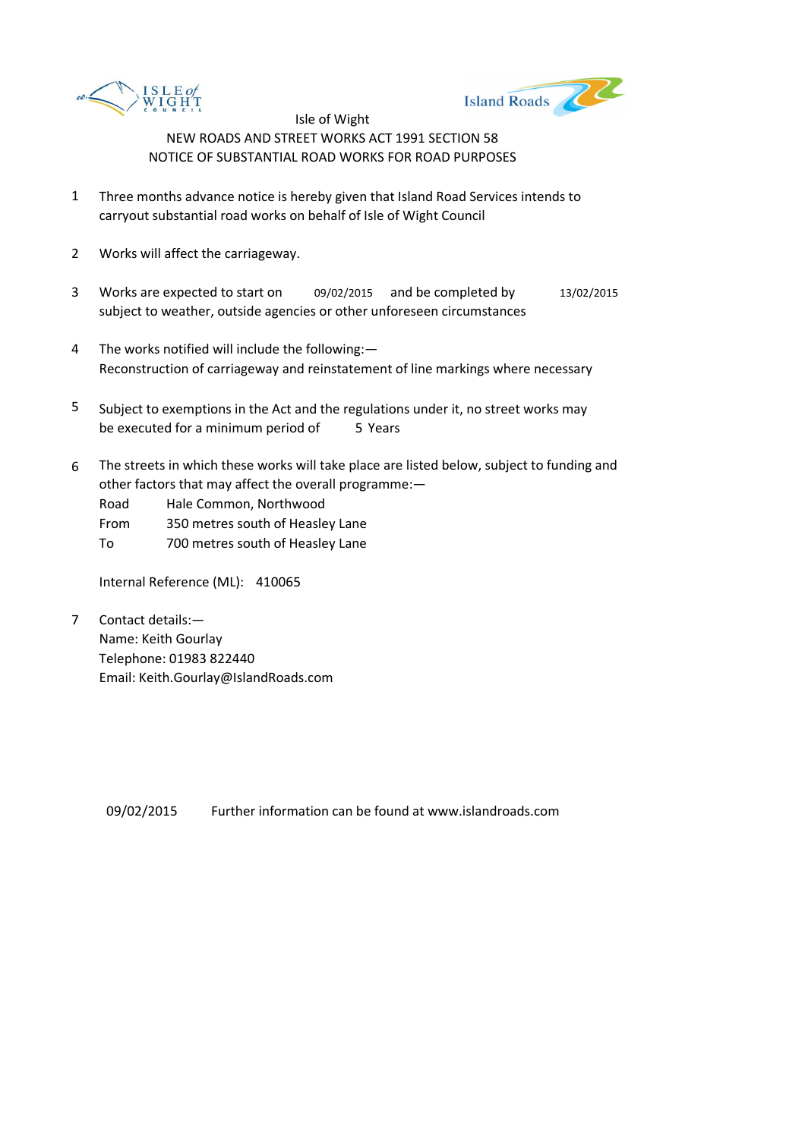



- 1 Three months advance notice is hereby given that Island Road Services intends to carryout substantial road works on behalf of Isle of Wight Council
- 2 Works will affect the carriageway.
- 3 Works are expected to start on 09/02/2015 and be completed by 13/02/2015 subject to weather, outside agencies or other unforeseen circumstances
- 4 The works notified will include the following:— Reconstruction of carriageway and reinstatement of line markings where necessary
- 5 be executed for a minimum period of 5 Years Subject to exemptions in the Act and the regulations under it, no street works may
- 6 The streets in which these works will take place are listed below, subject to funding and other factors that may affect the overall programme:—

Road Hale Common, Northwood

- From 350 metres south of Heasley Lane
- To 700 metres south of Heasley Lane

Internal Reference (ML): 410065

7 Contact details:— Name: Keith Gourlay Telephone: 01983 822440 Email: Keith.Gourlay@IslandRoads.com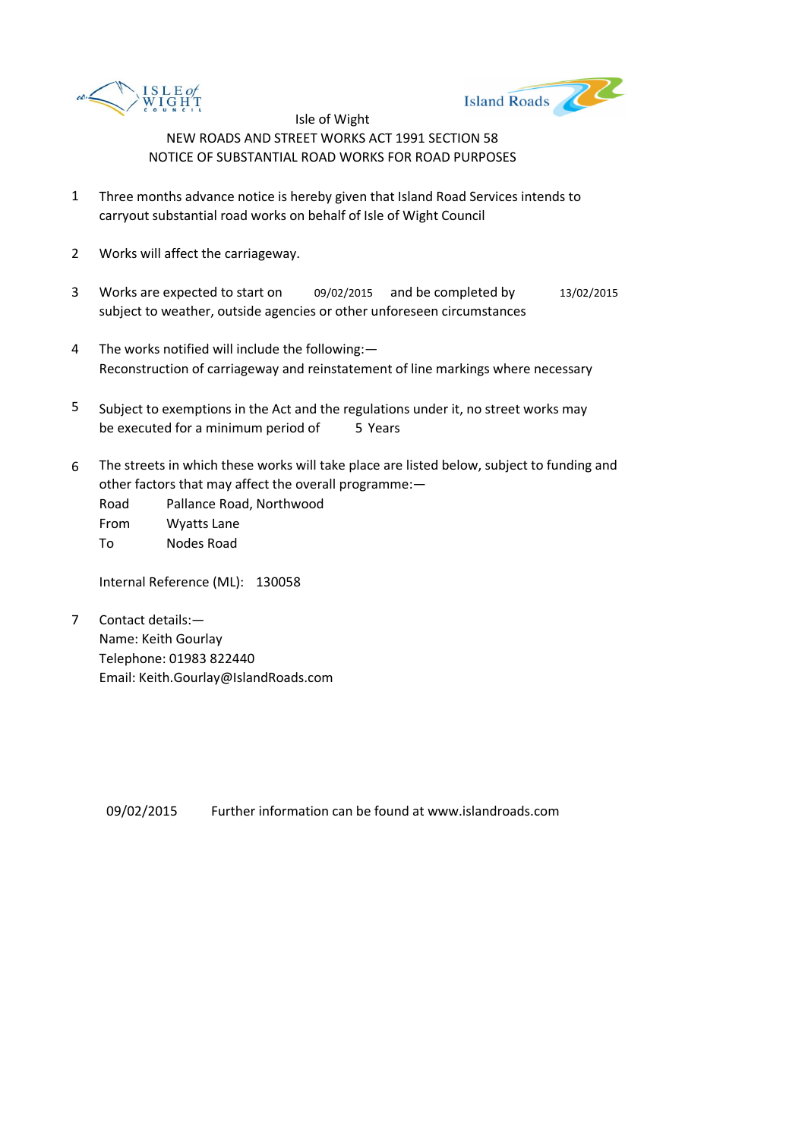



- 1 Three months advance notice is hereby given that Island Road Services intends to carryout substantial road works on behalf of Isle of Wight Council
- 2 Works will affect the carriageway.
- 3 Works are expected to start on 09/02/2015 and be completed by 13/02/2015 subject to weather, outside agencies or other unforeseen circumstances
- 4 The works notified will include the following:— Reconstruction of carriageway and reinstatement of line markings where necessary
- 5 be executed for a minimum period of 5 Years Subject to exemptions in the Act and the regulations under it, no street works may
- 6 The streets in which these works will take place are listed below, subject to funding and other factors that may affect the overall programme:—

Road Pallance Road, Northwood From Wyatts Lane

To Nodes Road

Internal Reference (ML): 130058

7 Contact details:— Name: Keith Gourlay Telephone: 01983 822440 Email: Keith.Gourlay@IslandRoads.com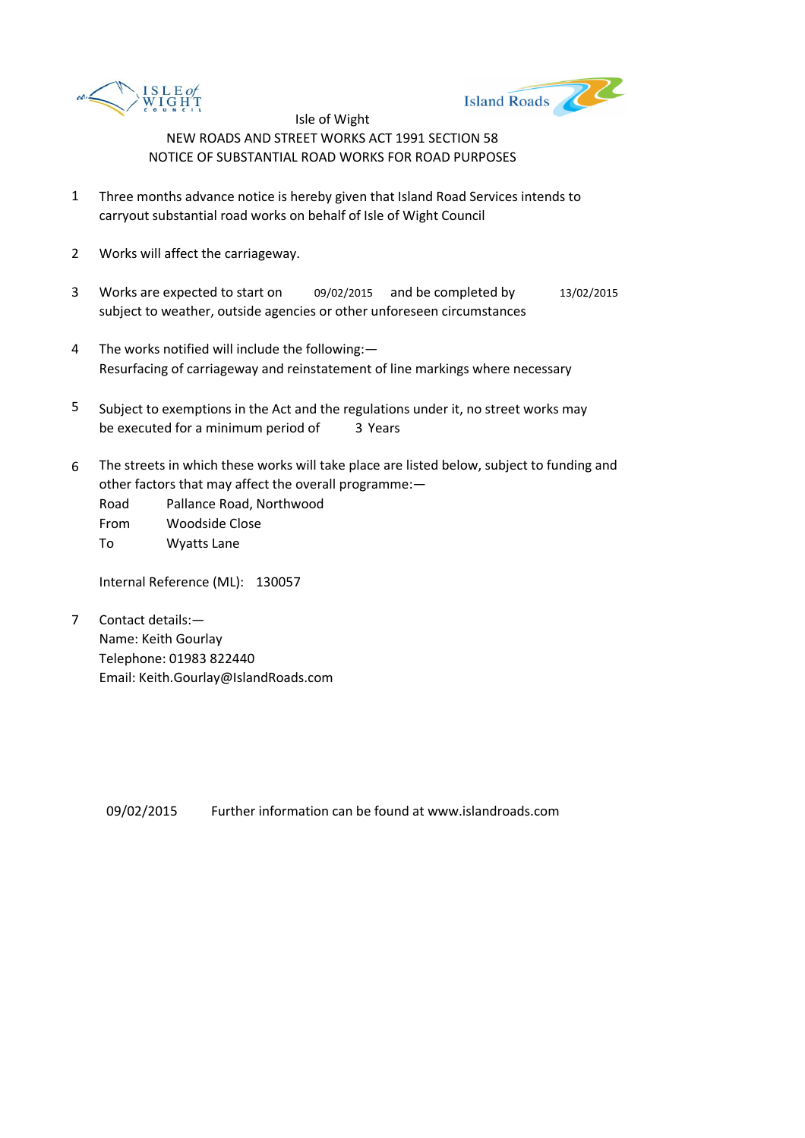



- 1 Three months advance notice is hereby given that Island Road Services intends to carryout substantial road works on behalf of Isle of Wight Council
- 2 Works will affect the carriageway.
- 3 Works are expected to start on 09/02/2015 and be completed by 13/02/2015 subject to weather, outside agencies or other unforeseen circumstances
- 4 The works notified will include the following:— Resurfacing of carriageway and reinstatement of line markings where necessary
- 5 be executed for a minimum period of 3 Years Subject to exemptions in the Act and the regulations under it, no street works may
- 6 The streets in which these works will take place are listed below, subject to funding and other factors that may affect the overall programme:—

Road Pallance Road, Northwood

From Woodside Close

To Wyatts Lane

Internal Reference (ML): 130057

7 Contact details:— Name: Keith Gourlay Telephone: 01983 822440 Email: Keith.Gourlay@IslandRoads.com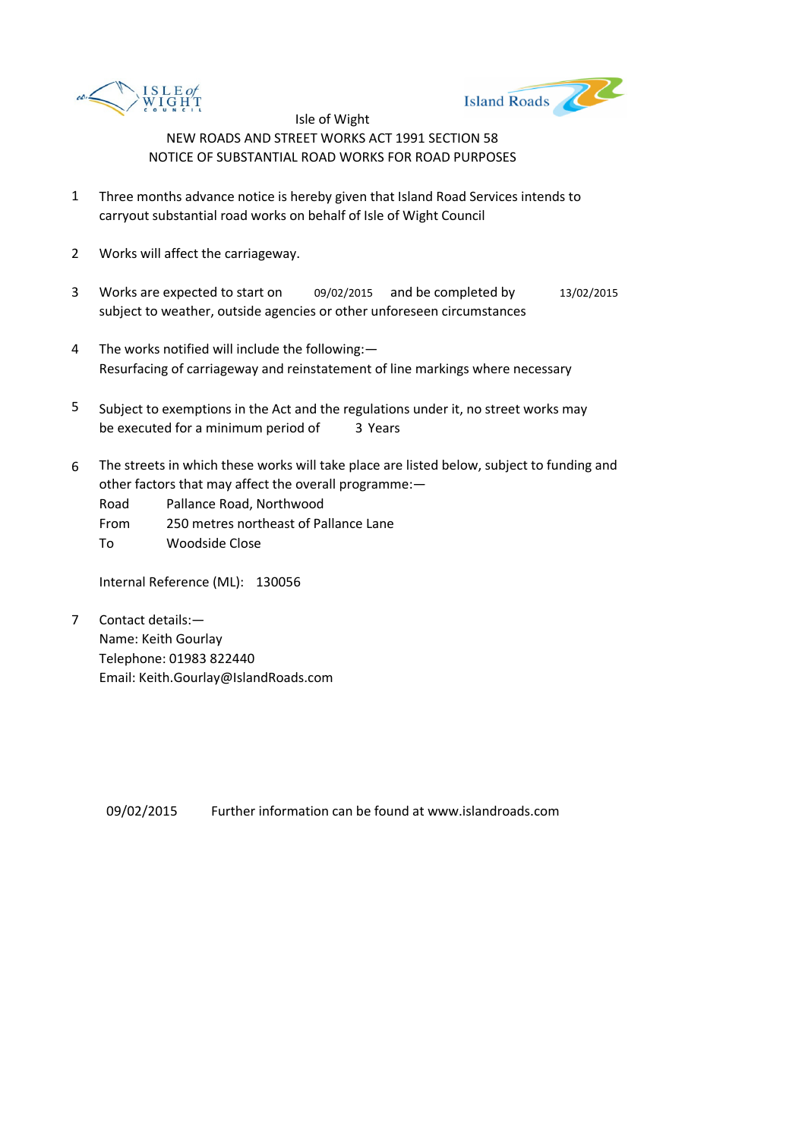



- 1 Three months advance notice is hereby given that Island Road Services intends to carryout substantial road works on behalf of Isle of Wight Council
- 2 Works will affect the carriageway.
- 3 Works are expected to start on 09/02/2015 and be completed by 13/02/2015 subject to weather, outside agencies or other unforeseen circumstances
- 4 The works notified will include the following:— Resurfacing of carriageway and reinstatement of line markings where necessary
- 5 be executed for a minimum period of 3 Years Subject to exemptions in the Act and the regulations under it, no street works may
- 6 The streets in which these works will take place are listed below, subject to funding and other factors that may affect the overall programme:—

Road Pallance Road, Northwood

- From 250 metres northeast of Pallance Lane
- To Woodside Close

Internal Reference (ML): 130056

7 Contact details:— Name: Keith Gourlay Telephone: 01983 822440 Email: Keith.Gourlay@IslandRoads.com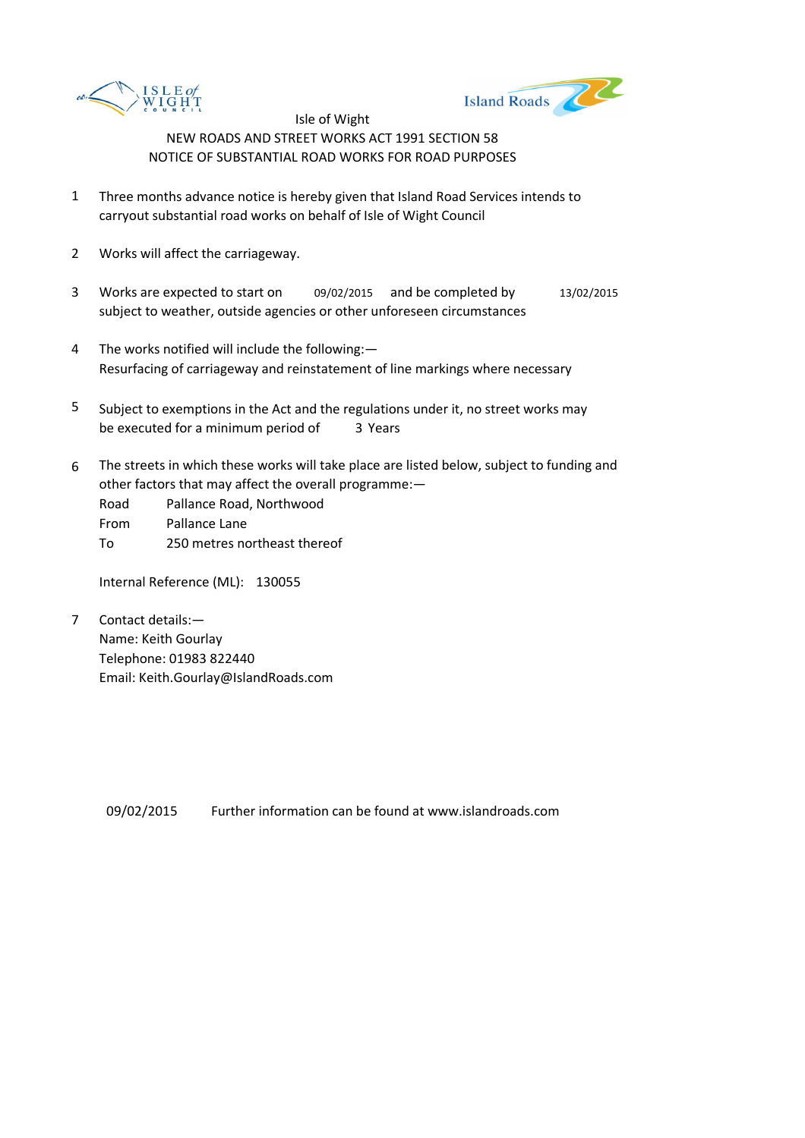



- 1 Three months advance notice is hereby given that Island Road Services intends to carryout substantial road works on behalf of Isle of Wight Council
- 2 Works will affect the carriageway.
- 3 Works are expected to start on 09/02/2015 and be completed by 13/02/2015 subject to weather, outside agencies or other unforeseen circumstances
- 4 The works notified will include the following:— Resurfacing of carriageway and reinstatement of line markings where necessary
- 5 be executed for a minimum period of 3 Years Subject to exemptions in the Act and the regulations under it, no street works may
- 6 The streets in which these works will take place are listed below, subject to funding and other factors that may affect the overall programme:—
	- Road Pallance Road, Northwood
	- From Pallance Lane
	- To 250 metres northeast thereof

Internal Reference (ML): 130055

7 Contact details:— Name: Keith Gourlay Telephone: 01983 822440 Email: Keith.Gourlay@IslandRoads.com